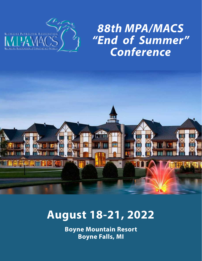

# *88th MPA/MACS "End of Summer" Conference*



# **August 18-21, 2022**

**Boyne Mountain Resort Boyne Falls, MI**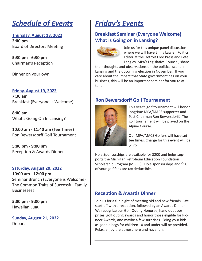# *Schedule of Events*

### **Thursday, August 18, 2022**

**2:00 pm** Board of Directors Meeting

**5:30 pm - 6:30 pm** Chairman's Reception

Dinner on your own

#### **Friday, August 19, 2022**

**7:30 am**  Breakfast (Everyone is Welcome)

**8:00 am** What's Going On In Lansing?

**10:00 am - 11:40 am (Tee Times)** Ron Bewersdorff Golf Tournament

**5:00 pm - 9:00 pm** Reception & Awards Dinner

### **Saturday, August 20, 2022**

**10:00 am - 12:00 pm** Seminar Brunch (Everyone is Welcome) The Common Traits of Successful Family Businesses!

**5:00 pm - 9:00 pm** Hawaiian Luau

**Sunday, August 21, 2022** Depart

# *Friday's Events*

## **Breakfast Seminar (Everyone Welcome) What is Going on in Lansing?**



Join us for this unique panel discussion where we will have Emily Lawler, Politics Editor at the Detroit Free Press and Pete Langley, MPA's Legislative Counsel, share

their thoughts and observations on the political scene in Lansing and the upcoming election in November. If you care about the impact that State government has on your business, this will be an important seminar for you to attend.

### **Ron Bewersdorff Golf Tournament**



This year's golf tournament will honor longtime MPA/MACS supporter and Past Chairman Ron Bewersdorff. The golf tournament will be played on the Alpine Course.

Our MPA/MACS Golfers will have set tee times. Charge for this event will be \$175.

Hole Sponsorships are available for \$200 and helps supports the Michigan Petroleum Education Foundation Scholarship Program (MiPEF). Hole sponsorships and \$50 of your golf fees are tax deductible.

### **Reception & Awards Dinner**

Join us for a fun night of meeting old and new friends. We start off with a reception, followed by an Awards Dinner. We recognize our Golf Outing Honoree, hand out door prizes, golf outing awards and honor those eligible for Pioneer Awards, and maybe a few surprises. Bring your kids as goodie bags for children 10 and under will be provided. Relax, enjoy the atmosphere and have fun.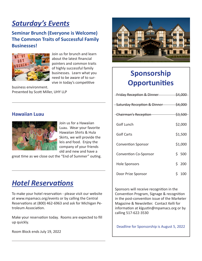# *Saturday's Events*

### **Seminar Brunch (Everyone is Welcome) The Common Traits of Successful Family Businesses!**



Join us for brunch and learn about the latest financial pointers and common traits of highly successful family businesses. Learn what you need to be aware of to survive in today's competitive

business environment. Presented by Scott Miller, UHY LLP

### **Hawaiian Luau**



Join us for a Hawaiian Luau. Wear your favorite Hawaiian Shirts & Hula Skirts, we will provide the leis and food. Enjoy the company of your friends old and new and have a

great time as we close out the "End of Summer" outing.

# *Hotel Reservations*

To make your hotel reservation - please visit our website at www.mpamacs.org/events or by calling the Central Reservations at (800) 462-6963 and ask for Michigan Petroleum Association.

Make your reservation today. Rooms are expected to fill up quickly.

Room Block ends July 19, 2022



# **Sponsorship Opportunities**

| Friday Reception & Dinner \$4,000      |                    |  |  |
|----------------------------------------|--------------------|--|--|
| <b>Saturday Reception &amp; Dinner</b> | \$4,000            |  |  |
| <b>Chairman's Reception</b>            | <del>\$3,500</del> |  |  |
| Golf Lunch                             | \$2,000            |  |  |
| <b>Golf Carts</b>                      | \$1,500            |  |  |
| <b>Convention Sponsor</b>              | \$1,000            |  |  |
| <b>Convention Co-Sponsor</b>           | \$ 500             |  |  |
| Hole Sponsors                          | \$200              |  |  |
| Door Prize Sponsor                     | Ś.<br>100          |  |  |

Sponsors will receive recognition in the Convention Program, Signage & recognition in the post-convention issue of the Marketer Magazine & Newsletter. Contact Kelli for information at klgustin@mpamacs.org or by calling 517-622-3530

Deadline for Sponsorship is August 5, 2022